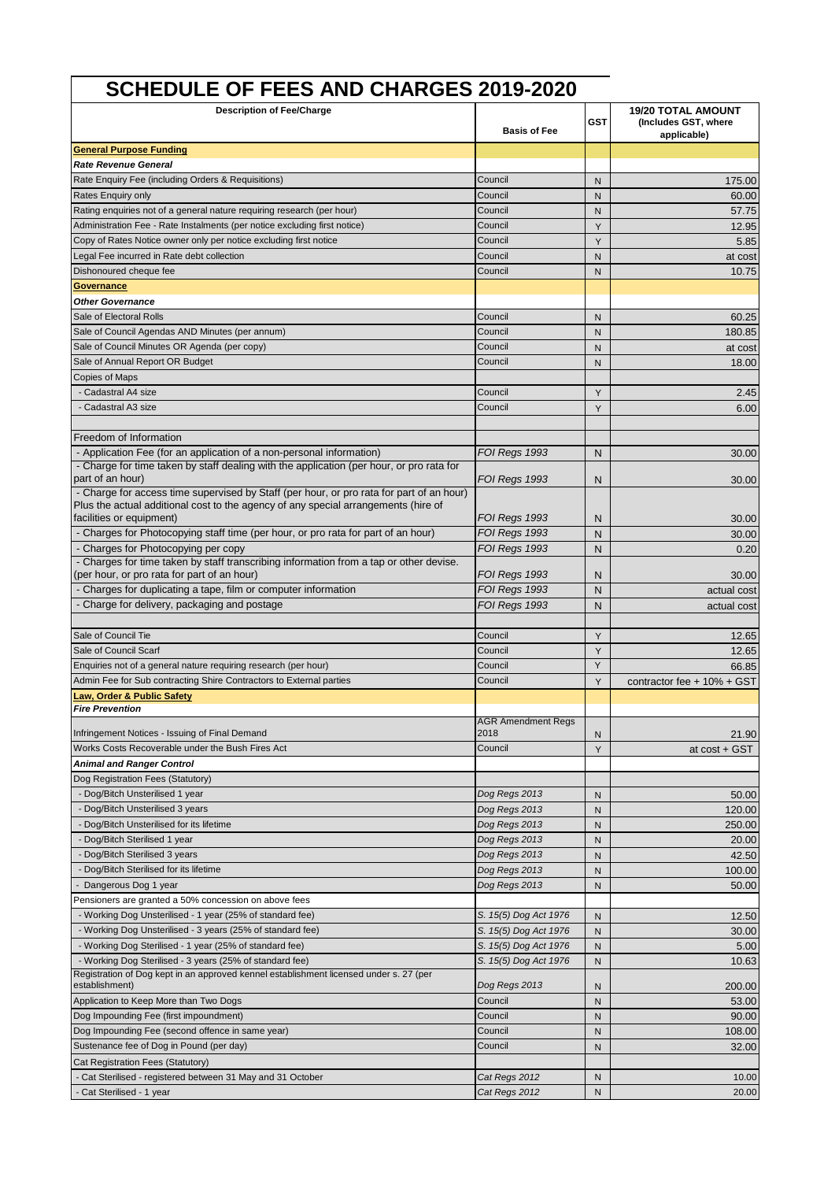## **SCHEDULE OF FEES AND CHARGES 2019-2020**

| <b>Description of Fee/Charge</b>                                                                                                                                               |                                   |                | <b>19/20 TOTAL AMOUNT</b>           |
|--------------------------------------------------------------------------------------------------------------------------------------------------------------------------------|-----------------------------------|----------------|-------------------------------------|
|                                                                                                                                                                                | <b>Basis of Fee</b>               | <b>GST</b>     | (Includes GST, where<br>applicable) |
| <b>General Purpose Funding</b>                                                                                                                                                 |                                   |                |                                     |
| <b>Rate Revenue General</b>                                                                                                                                                    |                                   |                |                                     |
| Rate Enquiry Fee (including Orders & Requisitions)                                                                                                                             | Council                           | N              | 175.00                              |
| Rates Enquiry only                                                                                                                                                             | Council                           | N              | 60.00                               |
| Rating enquiries not of a general nature requiring research (per hour)                                                                                                         | Council                           | N              | 57.75                               |
| Administration Fee - Rate Instalments (per notice excluding first notice)                                                                                                      | Council                           | Y              | 12.95                               |
| Copy of Rates Notice owner only per notice excluding first notice                                                                                                              | Council                           | Y              | 5.85                                |
| Legal Fee incurred in Rate debt collection                                                                                                                                     | Council                           | N              | at cost                             |
| Dishonoured cheque fee                                                                                                                                                         | Council                           | N              | 10.75                               |
| <u>Governance</u>                                                                                                                                                              |                                   |                |                                     |
| <b>Other Governance</b>                                                                                                                                                        |                                   |                |                                     |
| Sale of Electoral Rolls                                                                                                                                                        | Council                           | N              | 60.25                               |
| Sale of Council Agendas AND Minutes (per annum)                                                                                                                                | Council                           | N              | 180.85                              |
| Sale of Council Minutes OR Agenda (per copy)                                                                                                                                   | Council                           | N              | at cost                             |
| Sale of Annual Report OR Budget                                                                                                                                                | Council                           | N              | 18.00                               |
| <b>Copies of Maps</b>                                                                                                                                                          |                                   |                |                                     |
| - Cadastral A4 size                                                                                                                                                            | Council                           | Y              | 2.45                                |
| - Cadastral A3 size                                                                                                                                                            | Council                           | Y              | 6.00                                |
|                                                                                                                                                                                |                                   |                |                                     |
| Freedom of Information                                                                                                                                                         |                                   |                |                                     |
| - Application Fee (for an application of a non-personal information)                                                                                                           | FOI Regs 1993                     | N              | 30.00                               |
| - Charge for time taken by staff dealing with the application (per hour, or pro rata for                                                                                       |                                   |                |                                     |
| part of an hour)                                                                                                                                                               | FOI Regs 1993                     | N              | 30.00                               |
| - Charge for access time supervised by Staff (per hour, or pro rata for part of an hour)<br>Plus the actual additional cost to the agency of any special arrangements (hire of |                                   |                |                                     |
| facilities or equipment)                                                                                                                                                       | FOI Regs 1993                     | N              | 30.00                               |
| - Charges for Photocopying staff time (per hour, or pro rata for part of an hour)                                                                                              | FOI Regs 1993                     | N              | 30.00                               |
| - Charges for Photocopying per copy                                                                                                                                            | FOI Regs 1993                     | N              | 0.20                                |
| - Charges for time taken by staff transcribing information from a tap or other devise.                                                                                         |                                   |                |                                     |
| (per hour, or pro rata for part of an hour)                                                                                                                                    | FOI Regs 1993                     | N              | 30.00                               |
| - Charges for duplicating a tape, film or computer information                                                                                                                 | FOI Regs 1993                     | N              | actual cost                         |
| - Charge for delivery, packaging and postage                                                                                                                                   | FOI Regs 1993                     | N              | actual cost                         |
|                                                                                                                                                                                |                                   |                |                                     |
| Sale of Council Tie                                                                                                                                                            | Council                           | Υ              | 12.65                               |
| Sale of Council Scarf                                                                                                                                                          | Council                           | Y              | 12.65                               |
| Enquiries not of a general nature requiring research (per hour)                                                                                                                | Council                           | Y              | 66.85                               |
| Admin Fee for Sub contracting Shire Contractors to External parties                                                                                                            | Council                           | Y              | contractor fee + 10% + GST          |
| Law, Order & Public Safety                                                                                                                                                     |                                   |                |                                     |
| <b>Fire Prevention</b>                                                                                                                                                         |                                   |                |                                     |
| Infringement Notices - Issuing of Final Demand                                                                                                                                 | <b>AGR Amendment Regs</b><br>2018 |                |                                     |
| Works Costs Recoverable under the Bush Fires Act                                                                                                                               | Council                           | ${\sf N}$<br>Υ | 21.90                               |
| Animal and Ranger Control                                                                                                                                                      |                                   |                | at cost + GST                       |
| Dog Registration Fees (Statutory)                                                                                                                                              |                                   |                |                                     |
| - Dog/Bitch Unsterilised 1 year                                                                                                                                                | Dog Regs 2013                     |                |                                     |
| - Dog/Bitch Unsterilised 3 years                                                                                                                                               | Dog Regs 2013                     | N<br>N         | 50.00<br>120.00                     |
| - Dog/Bitch Unsterilised for its lifetime                                                                                                                                      | Dog Regs 2013                     | N              | 250.00                              |
| - Dog/Bitch Sterilised 1 year                                                                                                                                                  | Dog Regs 2013                     | N              | 20.00                               |
| - Dog/Bitch Sterilised 3 years                                                                                                                                                 | Dog Regs 2013                     | N              | 42.50                               |
| - Dog/Bitch Sterilised for its lifetime                                                                                                                                        | Dog Regs 2013                     | N              | 100.00                              |
| - Dangerous Dog 1 year                                                                                                                                                         | Dog Regs 2013                     | N              | 50.00                               |
| Pensioners are granted a 50% concession on above fees                                                                                                                          |                                   |                |                                     |
| - Working Dog Unsterilised - 1 year (25% of standard fee)                                                                                                                      | S. 15(5) Dog Act 1976             | N              | 12.50                               |
| - Working Dog Unsterilised - 3 years (25% of standard fee)                                                                                                                     | S. 15(5) Dog Act 1976             | N              | 30.00                               |
| - Working Dog Sterilised - 1 year (25% of standard fee)                                                                                                                        | S. 15(5) Dog Act 1976             | N              | 5.00                                |
| - Working Dog Sterilised - 3 years (25% of standard fee)                                                                                                                       | S. 15(5) Dog Act 1976             | N              | 10.63                               |
| Registration of Dog kept in an approved kennel establishment licensed under s. 27 (per                                                                                         |                                   |                |                                     |
| establishment)                                                                                                                                                                 | Dog Regs 2013                     | N              | 200.00                              |
| Application to Keep More than Two Dogs                                                                                                                                         | Council                           | N              | 53.00                               |
| Dog Impounding Fee (first impoundment)                                                                                                                                         | Council                           | N              | 90.00                               |
| Dog Impounding Fee (second offence in same year)                                                                                                                               | Council                           | N              | 108.00                              |
| Sustenance fee of Dog in Pound (per day)                                                                                                                                       | Council                           | N              | 32.00                               |
| Cat Registration Fees (Statutory)                                                                                                                                              |                                   |                |                                     |
| - Cat Sterilised - registered between 31 May and 31 October                                                                                                                    | Cat Regs 2012                     | N              | 10.00                               |
| - Cat Sterilised - 1 year                                                                                                                                                      | Cat Regs 2012                     | N              | 20.00                               |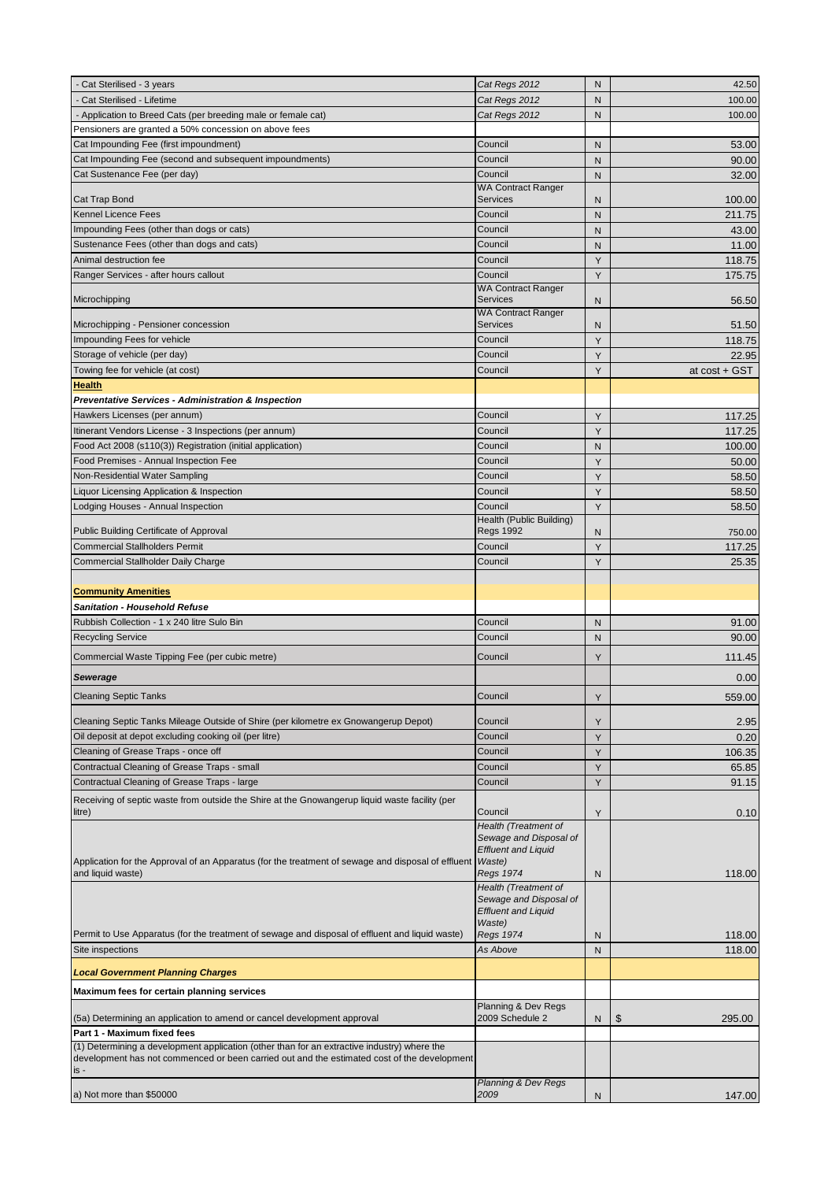| Cat Sterilised - 3 years                                                                           | Cat Regs 2012                                        | N | 42.50         |
|----------------------------------------------------------------------------------------------------|------------------------------------------------------|---|---------------|
| - Cat Sterilised - Lifetime                                                                        | Cat Regs 2012                                        | N | 100.00        |
| - Application to Breed Cats (per breeding male or female cat)                                      | Cat Regs 2012                                        | N | 100.00        |
| Pensioners are granted a 50% concession on above fees                                              |                                                      |   |               |
| Cat Impounding Fee (first impoundment)                                                             | Council                                              | N | 53.00         |
| Cat Impounding Fee (second and subsequent impoundments)                                            | Council                                              | N | 90.00         |
| Cat Sustenance Fee (per day)                                                                       | Council                                              | N | 32.00         |
|                                                                                                    | <b>WA Contract Ranger</b>                            |   |               |
| Cat Trap Bond                                                                                      | Services                                             | N | 100.00        |
| <b>Kennel Licence Fees</b>                                                                         | Council                                              | N | 211.75        |
| Impounding Fees (other than dogs or cats)                                                          | Council                                              | N | 43.00         |
| Sustenance Fees (other than dogs and cats)                                                         | Council                                              | N | 11.00         |
| Animal destruction fee                                                                             | Council                                              | Y | 118.75        |
| Ranger Services - after hours callout                                                              | Council                                              | Y | 175.75        |
|                                                                                                    | <b>WA Contract Ranger</b>                            |   |               |
| Microchipping                                                                                      | <b>Services</b><br><b>WA Contract Ranger</b>         | N | 56.50         |
| Microchipping - Pensioner concession                                                               | <b>Services</b>                                      | N | 51.50         |
| Impounding Fees for vehicle                                                                        | Council                                              | Y | 118.75        |
| Storage of vehicle (per day)                                                                       | Council                                              | Y | 22.95         |
| Towing fee for vehicle (at cost)                                                                   | Council                                              | Y | at cost + GST |
| <b>Health</b>                                                                                      |                                                      |   |               |
| Preventative Services - Administration & Inspection                                                |                                                      |   |               |
| Hawkers Licenses (per annum)                                                                       | Council                                              | Υ | 117.25        |
|                                                                                                    | Council                                              |   |               |
| Itinerant Vendors License - 3 Inspections (per annum)                                              |                                                      | Y | 117.25        |
| Food Act 2008 (s110(3)) Registration (initial application)                                         | Council<br>Council                                   | N | 100.00        |
| Food Premises - Annual Inspection Fee                                                              |                                                      | Y | 50.00         |
| Non-Residential Water Sampling                                                                     | Council                                              | Y | 58.50         |
| Liquor Licensing Application & Inspection                                                          | Council                                              | Y | 58.50         |
| Lodging Houses - Annual Inspection                                                                 | Council                                              | Υ | 58.50         |
| Public Building Certificate of Approval                                                            | Health (Public Building)<br><b>Regs 1992</b>         | N | 750.00        |
| <b>Commercial Stallholders Permit</b>                                                              | Council                                              | Υ | 117.25        |
| <b>Commercial Stallholder Daily Charge</b>                                                         | Council                                              | Y |               |
|                                                                                                    |                                                      |   | 25.35         |
| <b>Community Amenities</b>                                                                         |                                                      |   |               |
| <b>Sanitation - Household Refuse</b>                                                               |                                                      |   |               |
| Rubbish Collection - 1 x 240 litre Sulo Bin                                                        | Council                                              |   |               |
|                                                                                                    | Council                                              | N | 91.00         |
| <b>Recycling Service</b>                                                                           |                                                      | N | 90.00         |
| Commercial Waste Tipping Fee (per cubic metre)                                                     | Council                                              | Υ | 111.45        |
| <b>Sewerage</b>                                                                                    |                                                      |   | 0.00          |
| <b>Cleaning Septic Tanks</b>                                                                       | Council                                              | Y | 559.00        |
|                                                                                                    |                                                      |   |               |
| Cleaning Septic Tanks Mileage Outside of Shire (per kilometre ex Gnowangerup Depot)                | Council                                              | Y | 2.95          |
| Oil deposit at depot excluding cooking oil (per litre)                                             | Council                                              | Y | 0.20          |
| Cleaning of Grease Traps - once off                                                                | Council                                              | Y | 106.35        |
| Contractual Cleaning of Grease Traps - small                                                       | Council                                              | Y | 65.85         |
| Contractual Cleaning of Grease Traps - large                                                       | Council                                              | Y | 91.15         |
| Receiving of septic waste from outside the Shire at the Gnowangerup liquid waste facility (per     |                                                      |   |               |
| litre)                                                                                             | Council                                              | Υ | 0.10          |
|                                                                                                    | Health (Treatment of                                 |   |               |
|                                                                                                    | Sewage and Disposal of<br><b>Effluent and Liquid</b> |   |               |
| Application for the Approval of an Apparatus (for the treatment of sewage and disposal of effluent | Waste)                                               |   |               |
| and liquid waste)                                                                                  | Regs 1974                                            | N | 118.00        |
|                                                                                                    | Health (Treatment of                                 |   |               |
|                                                                                                    | Sewage and Disposal of                               |   |               |
|                                                                                                    | <b>Effluent and Liquid</b><br>Waste)                 |   |               |
| Permit to Use Apparatus (for the treatment of sewage and disposal of effluent and liquid waste)    | <b>Regs 1974</b>                                     | N | 118.00        |
| Site inspections                                                                                   | As Above                                             | N | 118.00        |
|                                                                                                    |                                                      |   |               |
| <b>Local Government Planning Charges</b>                                                           |                                                      |   |               |
| Maximum fees for certain planning services                                                         |                                                      |   |               |
| (5a) Determining an application to amend or cancel development approval                            | Planning & Dev Regs<br>2009 Schedule 2               | N | \$<br>295.00  |
| Part 1 - Maximum fixed fees                                                                        |                                                      |   |               |
| (1) Determining a development application (other than for an extractive industry) where the        |                                                      |   |               |
| development has not commenced or been carried out and the estimated cost of the development        |                                                      |   |               |
| is -                                                                                               |                                                      |   |               |
|                                                                                                    | <b>Planning &amp; Dev Regs</b>                       |   |               |
| a) Not more than \$50000                                                                           | 2009                                                 | N | 147.00        |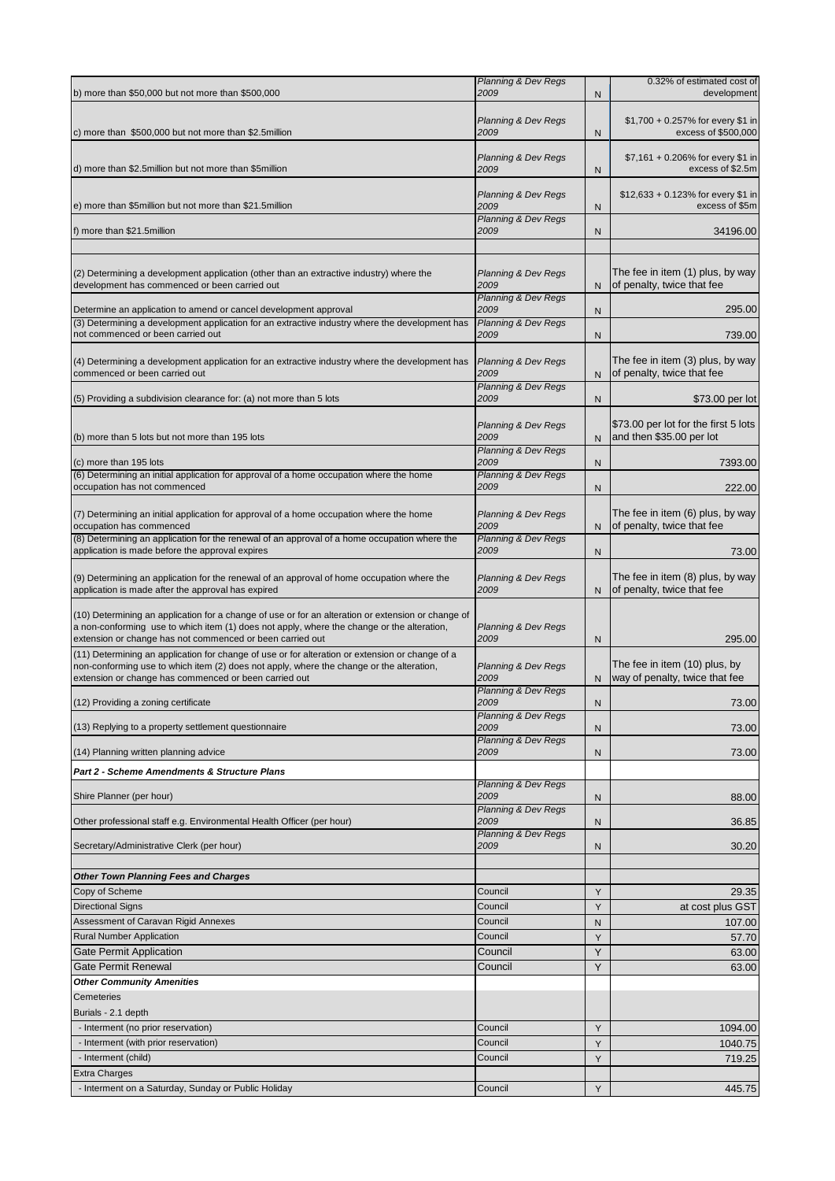| b) more than \$50,000 but not more than \$500,000                                                                                                                                                                                                             | <b>Planning &amp; Dev Regs</b><br>2009                                   | N            | 0.32% of estimated cost of<br>development                        |
|---------------------------------------------------------------------------------------------------------------------------------------------------------------------------------------------------------------------------------------------------------------|--------------------------------------------------------------------------|--------------|------------------------------------------------------------------|
| c) more than \$500,000 but not more than \$2.5 million                                                                                                                                                                                                        | <b>Planning &amp; Dev Regs</b><br>2009                                   | N            | \$1,700 + 0.257% for every \$1 in<br>excess of \$500,000         |
| d) more than \$2.5 million but not more than \$5 million                                                                                                                                                                                                      | <b>Planning &amp; Dev Regs</b><br>2009                                   | N            | \$7,161 + 0.206% for every \$1 in<br>excess of \$2.5m            |
| e) more than \$5 million but not more than \$21.5 million                                                                                                                                                                                                     | <b>Planning &amp; Dev Regs</b><br>2009                                   | N            | $$12,633 + 0.123\%$ for every \$1 in<br>excess of \$5m           |
| f) more than \$21.5million                                                                                                                                                                                                                                    | <b>Planning &amp; Dev Regs</b><br>2009                                   | N            | 34196.00                                                         |
|                                                                                                                                                                                                                                                               |                                                                          |              |                                                                  |
| (2) Determining a development application (other than an extractive industry) where the<br>development has commenced or been carried out                                                                                                                      | <b>Planning &amp; Dev Regs</b><br>2009                                   | N            | The fee in item (1) plus, by way<br>of penalty, twice that fee   |
| Determine an application to amend or cancel development approval                                                                                                                                                                                              | Planning & Dev Regs<br>2009                                              | N            | 295.00                                                           |
| (3) Determining a development application for an extractive industry where the development has                                                                                                                                                                | Planning & Dev Regs                                                      |              |                                                                  |
| not commenced or been carried out                                                                                                                                                                                                                             | 2009                                                                     | N            | 739.00                                                           |
| (4) Determining a development application for an extractive industry where the development has<br>commenced or been carried out                                                                                                                               | <b>Planning &amp; Dev Regs</b><br>2009                                   | N            | The fee in item (3) plus, by way<br>of penalty, twice that fee   |
| (5) Providing a subdivision clearance for: (a) not more than 5 lots                                                                                                                                                                                           | Planning & Dev Regs<br>2009                                              | N            | \$73.00 per lot                                                  |
|                                                                                                                                                                                                                                                               |                                                                          |              |                                                                  |
| (b) more than 5 lots but not more than 195 lots                                                                                                                                                                                                               | <b>Planning &amp; Dev Regs</b><br>2009                                   | N            | \$73.00 per lot for the first 5 lots<br>and then \$35.00 per lot |
|                                                                                                                                                                                                                                                               | <b>Planning &amp; Dev Regs</b>                                           |              |                                                                  |
| (c) more than 195 lots<br>(6) Determining an initial application for approval of a home occupation where the home                                                                                                                                             | 2009<br><b>Planning &amp; Dev Regs</b>                                   | N            | 7393.00                                                          |
| occupation has not commenced                                                                                                                                                                                                                                  | 2009                                                                     | N            | 222.00                                                           |
| (7) Determining an initial application for approval of a home occupation where the home<br>occupation has commenced                                                                                                                                           | <b>Planning &amp; Dev Regs</b><br>2009                                   | N            | The fee in item (6) plus, by way<br>of penalty, twice that fee   |
| (8) Determining an application for the renewal of an approval of a home occupation where the                                                                                                                                                                  | Planning & Dev Regs                                                      |              |                                                                  |
| application is made before the approval expires                                                                                                                                                                                                               | 2009                                                                     | N            | 73.00                                                            |
| (9) Determining an application for the renewal of an approval of home occupation where the<br>application is made after the approval has expired                                                                                                              | <b>Planning &amp; Dev Regs</b><br>2009                                   | N            | The fee in item (8) plus, by way<br>of penalty, twice that fee   |
| (10) Determining an application for a change of use or for an alteration or extension or change of<br>a non-conforming use to which item (1) does not apply, where the change or the alteration,<br>extension or change has not commenced or been carried out | <b>Planning &amp; Dev Regs</b><br>2009                                   | N            | 295.00                                                           |
| (11) Determining an application for change of use or for alteration or extension or change of a<br>non-conforming use to which item (2) does not apply, where the change or the alteration,<br>extension or change has commenced or been carried out          | <b>Planning &amp; Dev Regs</b><br>2009                                   | N            | The fee in item (10) plus, by<br>way of penalty, twice that fee  |
| (12) Providing a zoning certificate                                                                                                                                                                                                                           | <b>Planning &amp; Dev Regs</b><br>2009                                   | N            | 73.00                                                            |
|                                                                                                                                                                                                                                                               | <b>Planning &amp; Dev Regs</b>                                           |              |                                                                  |
| (13) Replying to a property settlement questionnaire                                                                                                                                                                                                          | 2009<br><b>Planning &amp; Dev Regs</b>                                   | N            | 73.00                                                            |
| (14) Planning written planning advice                                                                                                                                                                                                                         | 2009                                                                     | N            | 73.00                                                            |
| Part 2 - Scheme Amendments & Structure Plans                                                                                                                                                                                                                  |                                                                          |              |                                                                  |
| Shire Planner (per hour)                                                                                                                                                                                                                                      | <b>Planning &amp; Dev Regs</b><br>2009<br><b>Planning &amp; Dev Regs</b> | N            | 88.00                                                            |
| Other professional staff e.g. Environmental Health Officer (per hour)                                                                                                                                                                                         | 2009                                                                     | $\mathsf{N}$ | 36.85                                                            |
| Secretary/Administrative Clerk (per hour)                                                                                                                                                                                                                     | <b>Planning &amp; Dev Regs</b><br>2009                                   | N            | 30.20                                                            |
| <b>Other Town Planning Fees and Charges</b>                                                                                                                                                                                                                   |                                                                          |              |                                                                  |
| Copy of Scheme                                                                                                                                                                                                                                                | Council                                                                  | Y            | 29.35                                                            |
| <b>Directional Signs</b>                                                                                                                                                                                                                                      | Council                                                                  | Υ            | at cost plus GST                                                 |
| Assessment of Caravan Rigid Annexes                                                                                                                                                                                                                           | Council                                                                  | N            | 107.00                                                           |
| <b>Rural Number Application</b>                                                                                                                                                                                                                               | Council                                                                  | Υ            | 57.70                                                            |
| Gate Permit Application                                                                                                                                                                                                                                       | Council                                                                  | Y            | 63.00                                                            |
| <b>Gate Permit Renewal</b>                                                                                                                                                                                                                                    | Council                                                                  | Y            | 63.00                                                            |
| <b>Other Community Amenities</b>                                                                                                                                                                                                                              |                                                                          |              |                                                                  |
| Cemeteries                                                                                                                                                                                                                                                    |                                                                          |              |                                                                  |
| Burials - 2.1 depth<br>- Interment (no prior reservation)                                                                                                                                                                                                     | Council                                                                  |              | 1094.00                                                          |
| - Interment (with prior reservation)                                                                                                                                                                                                                          | Council                                                                  | Υ<br>Y       | 1040.75                                                          |
| - Interment (child)                                                                                                                                                                                                                                           | Council                                                                  | Y            | 719.25                                                           |
| <b>Extra Charges</b>                                                                                                                                                                                                                                          |                                                                          |              |                                                                  |
| - Interment on a Saturday, Sunday or Public Holiday                                                                                                                                                                                                           | Council                                                                  | Y            | 445.75                                                           |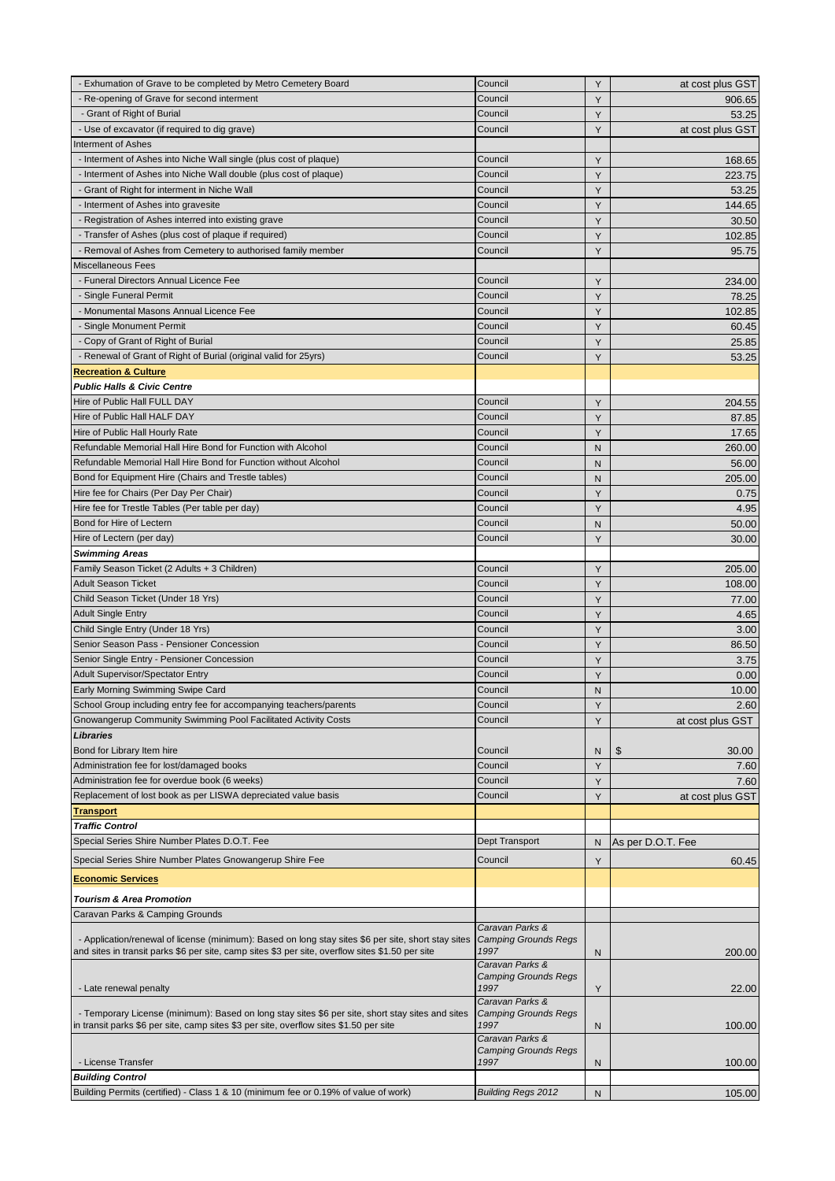| - Exhumation of Grave to be completed by Metro Cemetery Board                                       | Council                                        | Y            | at cost plus GST  |
|-----------------------------------------------------------------------------------------------------|------------------------------------------------|--------------|-------------------|
| - Re-opening of Grave for second interment                                                          | Council                                        | Y            | 906.65            |
| - Grant of Right of Burial                                                                          | Council                                        | Y            | 53.25             |
| - Use of excavator (if required to dig grave)                                                       | Council                                        | Y            | at cost plus GST  |
| Interment of Ashes                                                                                  |                                                |              |                   |
| - Interment of Ashes into Niche Wall single (plus cost of plaque)                                   | Council                                        | Y            | 168.65            |
| - Interment of Ashes into Niche Wall double (plus cost of plaque)                                   | Council                                        | Y            | 223.75            |
| - Grant of Right for interment in Niche Wall                                                        | Council                                        | Y            | 53.25             |
| - Interment of Ashes into gravesite                                                                 | Council                                        | Y            | 144.65            |
| - Registration of Ashes interred into existing grave                                                | Council                                        | Y            | 30.50             |
| - Transfer of Ashes (plus cost of plaque if required)                                               | Council                                        | Y            | 102.85            |
| - Removal of Ashes from Cemetery to authorised family member                                        | Council                                        | Y            | 95.75             |
| Miscellaneous Fees                                                                                  |                                                |              |                   |
| - Funeral Directors Annual Licence Fee                                                              | Council                                        | Y            | 234.00            |
| - Single Funeral Permit                                                                             | Council                                        | Y            | 78.25             |
| - Monumental Masons Annual Licence Fee                                                              | Council                                        | Y            | 102.85            |
| - Single Monument Permit                                                                            | Council                                        | Y            | 60.45             |
| - Copy of Grant of Right of Burial                                                                  | Council                                        | Y            | 25.85             |
| - Renewal of Grant of Right of Burial (original valid for 25yrs)                                    | Council                                        | Y            | 53.25             |
| <b>Recreation &amp; Culture</b>                                                                     |                                                |              |                   |
| <b>Public Halls &amp; Civic Centre</b>                                                              |                                                |              |                   |
| Hire of Public Hall FULL DAY                                                                        | Council                                        | Y            | 204.55            |
| Hire of Public Hall HALF DAY                                                                        | Council                                        | Y            | 87.85             |
| Hire of Public Hall Hourly Rate                                                                     | Council                                        | Y            | 17.65             |
| Refundable Memorial Hall Hire Bond for Function with Alcohol                                        | Council                                        | N.           | 260.00            |
| Refundable Memorial Hall Hire Bond for Function without Alcohol                                     | Council                                        | N            | 56.00             |
| Bond for Equipment Hire (Chairs and Trestle tables)                                                 | Council                                        | N            | 205.00            |
| Hire fee for Chairs (Per Day Per Chair)                                                             | Council                                        | Y            | 0.75              |
| Hire fee for Trestle Tables (Per table per day)                                                     | Council                                        | Y            | 4.95              |
| Bond for Hire of Lectern                                                                            | Council                                        |              |                   |
| Hire of Lectern (per day)                                                                           | Council                                        | N<br>Y       | 50.00             |
|                                                                                                     |                                                |              | 30.00             |
| <b>Swimming Areas</b>                                                                               |                                                |              |                   |
| Family Season Ticket (2 Adults + 3 Children)                                                        | Council                                        | Υ            | 205.00            |
| <b>Adult Season Ticket</b>                                                                          | Council                                        | Y            | 108.00            |
| Child Season Ticket (Under 18 Yrs)                                                                  | Council                                        | Y            | 77.00             |
| <b>Adult Single Entry</b>                                                                           | Council                                        | Y            | 4.65              |
| Child Single Entry (Under 18 Yrs)                                                                   | Council                                        | Y            | 3.00              |
| Senior Season Pass - Pensioner Concession                                                           | Council                                        | Y            | 86.50             |
| Senior Single Entry - Pensioner Concession                                                          | Council                                        | Y            | 3.75              |
| Adult Supervisor/Spectator Entry                                                                    | Council                                        | Y            | 0.00              |
| Early Morning Swimming Swipe Card                                                                   | Council                                        | $\mathsf{N}$ | 10.00             |
| School Group including entry fee for accompanying teachers/parents                                  | Council                                        | Υ            | 2.60              |
| Gnowangerup Community Swimming Pool Facilitated Activity Costs                                      | Council                                        | Y            | at cost plus GST  |
| <b>Libraries</b>                                                                                    |                                                |              |                   |
| Bond for Library Item hire                                                                          | Council                                        | N            | \$<br>30.00       |
| Administration fee for lost/damaged books                                                           | Council                                        | Y            | 7.60              |
| Administration fee for overdue book (6 weeks)                                                       | Council                                        | Y            | 7.60              |
| Replacement of lost book as per LISWA depreciated value basis                                       | Council                                        | Υ            | at cost plus GST  |
| <b>Transport</b>                                                                                    |                                                |              |                   |
| <b>Traffic Control</b>                                                                              |                                                |              |                   |
| Special Series Shire Number Plates D.O.T. Fee                                                       | Dept Transport                                 | N            | As per D.O.T. Fee |
| Special Series Shire Number Plates Gnowangerup Shire Fee                                            | Council                                        |              | 60.45             |
|                                                                                                     |                                                | Υ            |                   |
| <b>Economic Services</b>                                                                            |                                                |              |                   |
| <b>Tourism &amp; Area Promotion</b>                                                                 |                                                |              |                   |
| Caravan Parks & Camping Grounds                                                                     |                                                |              |                   |
|                                                                                                     | Caravan Parks &                                |              |                   |
| - Application/renewal of license (minimum): Based on long stay sites \$6 per site, short stay sites | <b>Camping Grounds Regs</b>                    |              |                   |
| and sites in transit parks \$6 per site, camp sites \$3 per site, overflow sites \$1.50 per site    | 1997                                           | N            | 200.00            |
|                                                                                                     | Caravan Parks &<br><b>Camping Grounds Regs</b> |              |                   |
| - Late renewal penalty                                                                              | 1997                                           | Y            | 22.00             |
|                                                                                                     | Caravan Parks &                                |              |                   |
| - Temporary License (minimum): Based on long stay sites \$6 per site, short stay sites and sites    | Camping Grounds Regs                           |              |                   |
| in transit parks \$6 per site, camp sites \$3 per site, overflow sites \$1.50 per site              | 1997                                           | N            | 100.00            |
|                                                                                                     | Caravan Parks &<br><b>Camping Grounds Regs</b> |              |                   |
| - License Transfer                                                                                  | 1997                                           | N            | 100.00            |
| <b>Building Control</b>                                                                             |                                                |              |                   |
|                                                                                                     |                                                |              |                   |